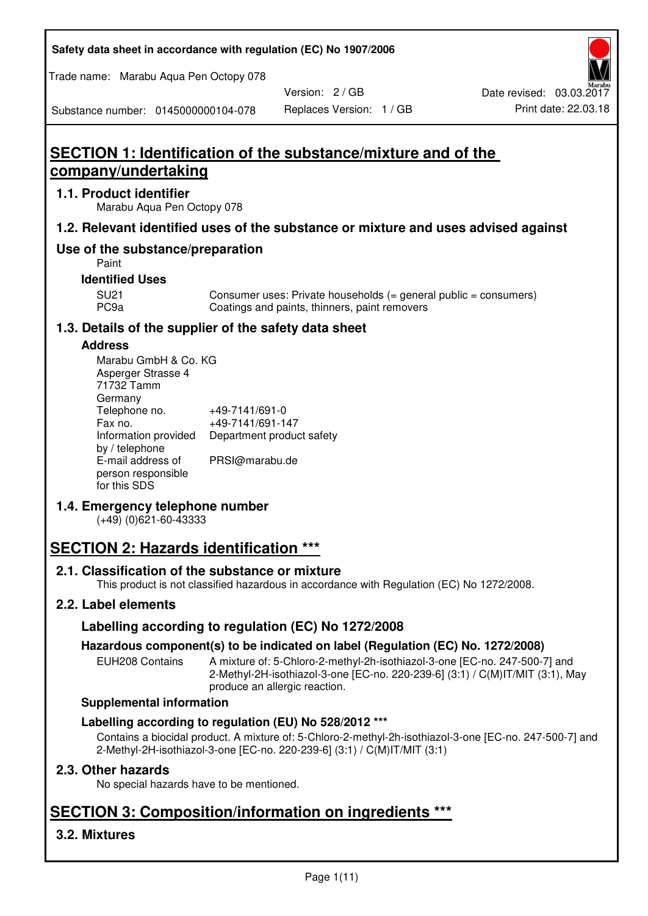**Safety data sheet in accordance with regulation (EC) No 1907/2006** 

Trade name: Marabu Aqua Pen Octopy 078

Version: 2 / GB

Substance number: 0145000000104-078

# **SECTION 1: Identification of the substance/mixture and of the company/undertaking**

### **1.1. Product identifier**

Marabu Aqua Pen Octopy 078

# **1.2. Relevant identified uses of the substance or mixture and uses advised against**

# **Use of the substance/preparation**

Paint

### **Identified Uses**

SU21 Consumer uses: Private households (= general public = consumers)<br>PC9a Coatings and paints, thinners, paint removers Coatings and paints, thinners, paint removers

# **1.3. Details of the supplier of the safety data sheet**

### **Address**

| Marabu GmbH & Co. KG |                           |
|----------------------|---------------------------|
| Asperger Strasse 4   |                           |
| 71732 Tamm           |                           |
| Germany              |                           |
| Telephone no.        | +49-7141/691-0            |
| Fax no.              | +49-7141/691-147          |
| Information provided | Department product safety |
| by / telephone       |                           |
| E-mail address of    | PRSI@marabu.de            |
| person responsible   |                           |
| for this SDS         |                           |

# **1.4. Emergency telephone number**

(+49) (0)621-60-43333

# **SECTION 2: Hazards identification \*\*\***

# **2.1. Classification of the substance or mixture**

This product is not classified hazardous in accordance with Regulation (EC) No 1272/2008.

# **2.2. Label elements**

# **Labelling according to regulation (EC) No 1272/2008**

# **Hazardous component(s) to be indicated on label (Regulation (EC) No. 1272/2008)**

EUH208 Contains A mixture of: 5-Chloro-2-methyl-2h-isothiazol-3-one [EC-no. 247-500-7] and 2-Methyl-2H-isothiazol-3-one [EC-no. 220-239-6] (3:1) / C(M)IT/MIT (3:1), May produce an allergic reaction.

#### **Supplemental information**

# **Labelling according to regulation (EU) No 528/2012 \*\*\***

Contains a biocidal product. A mixture of: 5-Chloro-2-methyl-2h-isothiazol-3-one [EC-no. 247-500-7] and 2-Methyl-2H-isothiazol-3-one [EC-no. 220-239-6] (3:1) / C(M)IT/MIT (3:1)

# **2.3. Other hazards**

No special hazards have to be mentioned.

# **SECTION 3: Composition/information on ingredients \*\*\***

# **3.2. Mixtures**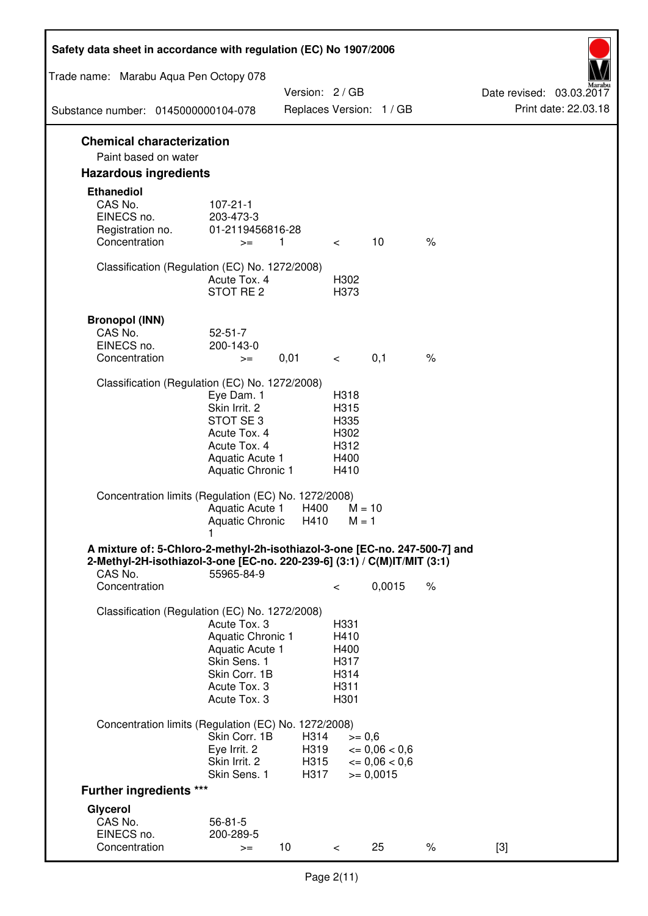| Safety data sheet in accordance with regulation (EC) No 1907/2006                                                                                                 |                                                                                                                         |                              |                                                      |                                                                  |      |                                                  |
|-------------------------------------------------------------------------------------------------------------------------------------------------------------------|-------------------------------------------------------------------------------------------------------------------------|------------------------------|------------------------------------------------------|------------------------------------------------------------------|------|--------------------------------------------------|
| Trade name: Marabu Aqua Pen Octopy 078                                                                                                                            |                                                                                                                         |                              |                                                      |                                                                  |      |                                                  |
| Substance number: 0145000000104-078                                                                                                                               |                                                                                                                         | Version: 2 / GB              |                                                      | Replaces Version: 1 / GB                                         |      | Date revised: 03.03.2017<br>Print date: 22.03.18 |
| <b>Chemical characterization</b>                                                                                                                                  |                                                                                                                         |                              |                                                      |                                                                  |      |                                                  |
| Paint based on water                                                                                                                                              |                                                                                                                         |                              |                                                      |                                                                  |      |                                                  |
| <b>Hazardous ingredients</b>                                                                                                                                      |                                                                                                                         |                              |                                                      |                                                                  |      |                                                  |
| <b>Ethanediol</b><br>CAS No.<br>EINECS no.<br>Registration no.<br>Concentration                                                                                   | $107 - 21 - 1$<br>203-473-3<br>01-2119456816-28<br>$>=$                                                                 | 1                            | $\overline{\phantom{0}}$                             | 10                                                               | $\%$ |                                                  |
| Classification (Regulation (EC) No. 1272/2008)                                                                                                                    | Acute Tox. 4<br>STOT RE 2                                                                                               |                              | H302<br>H373                                         |                                                                  |      |                                                  |
| <b>Bronopol (INN)</b><br>CAS No.<br>EINECS no.<br>Concentration                                                                                                   | $52 - 51 - 7$<br>200-143-0<br>$>=$                                                                                      | 0,01                         | $\lt$ $\sim$                                         | 0,1                                                              | $\%$ |                                                  |
| Classification (Regulation (EC) No. 1272/2008)                                                                                                                    |                                                                                                                         |                              |                                                      |                                                                  |      |                                                  |
|                                                                                                                                                                   | Eye Dam. 1<br>Skin Irrit. 2<br>STOT SE 3<br>Acute Tox. 4<br>Acute Tox. 4<br>Aquatic Acute 1<br><b>Aquatic Chronic 1</b> |                              | H318<br>H315<br>H335<br>H302<br>H312<br>H400<br>H410 |                                                                  |      |                                                  |
| Concentration limits (Regulation (EC) No. 1272/2008)                                                                                                              | Aquatic Acute 1<br>Aquatic Chronic H410                                                                                 | H400                         | $M = 1$                                              | $M = 10$                                                         |      |                                                  |
| A mixture of: 5-Chloro-2-methyl-2h-isothiazol-3-one [EC-no. 247-500-7] and<br>2-Methyl-2H-isothiazol-3-one [EC-no. 220-239-6] (3:1) / C(M)IT/MIT (3:1)<br>CAS No. | 55965-84-9                                                                                                              |                              |                                                      |                                                                  |      |                                                  |
| Concentration                                                                                                                                                     |                                                                                                                         |                              | $\,<\,$                                              | 0,0015                                                           | $\%$ |                                                  |
| Classification (Regulation (EC) No. 1272/2008)                                                                                                                    | Acute Tox. 3<br>Aquatic Chronic 1<br>Aquatic Acute 1<br>Skin Sens. 1<br>Skin Corr. 1B<br>Acute Tox. 3<br>Acute Tox. 3   |                              | H331<br>H410<br>H400<br>H317<br>H314<br>H311<br>H301 |                                                                  |      |                                                  |
| Concentration limits (Regulation (EC) No. 1272/2008)                                                                                                              |                                                                                                                         |                              |                                                      |                                                                  |      |                                                  |
|                                                                                                                                                                   | Skin Corr. 1B<br>Eye Irrit. 2<br>Skin Irrit. 2<br>Skin Sens. 1                                                          | H314<br>H319<br>H315<br>H317 | $>= 0,6$                                             | $\epsilon = 0.06 < 0.6$<br>$\epsilon = 0.06 < 0.6$<br>$= 0,0015$ |      |                                                  |
| <b>Further ingredients ***</b>                                                                                                                                    |                                                                                                                         |                              |                                                      |                                                                  |      |                                                  |
| Glycerol<br>CAS No.<br>EINECS no.<br>Concentration                                                                                                                | $56 - 81 - 5$<br>200-289-5<br>$>=$                                                                                      | 10 <sup>°</sup>              | $\,<\,$                                              | 25                                                               | $\%$ | $[3]$                                            |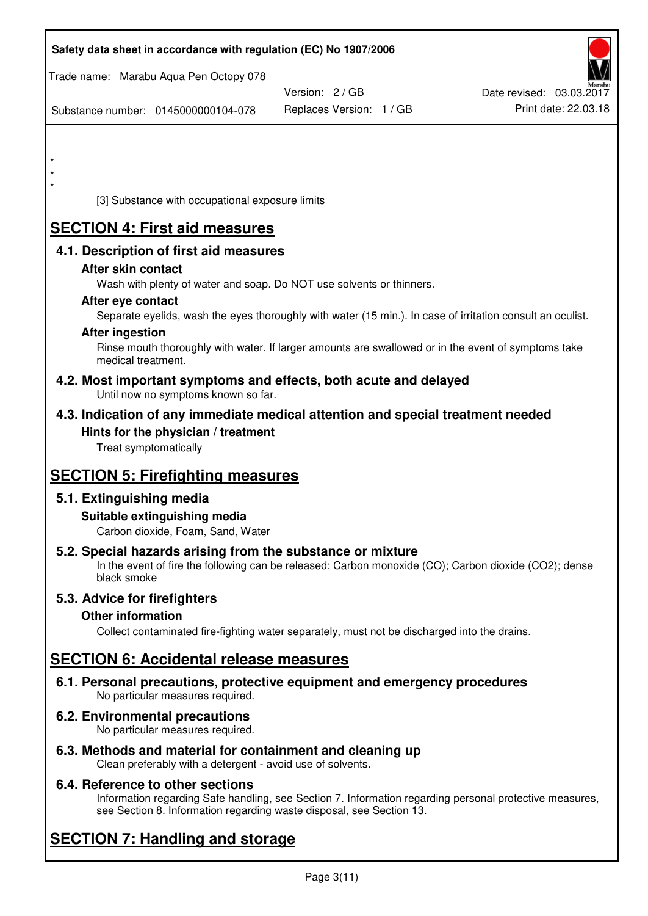| Safety data sheet in accordance with regulation (EC) No 1907/2006                                            |                          |                                                                                                            |
|--------------------------------------------------------------------------------------------------------------|--------------------------|------------------------------------------------------------------------------------------------------------|
| Trade name: Marabu Aqua Pen Octopy 078                                                                       |                          |                                                                                                            |
|                                                                                                              | Version: 2 / GB          | Date revised: 03.03.2017                                                                                   |
| Substance number: 0145000000104-078                                                                          | Replaces Version: 1 / GB | Print date: 22.03.18                                                                                       |
|                                                                                                              |                          |                                                                                                            |
|                                                                                                              |                          |                                                                                                            |
| *                                                                                                            |                          |                                                                                                            |
| [3] Substance with occupational exposure limits                                                              |                          |                                                                                                            |
| <b>SECTION 4: First aid measures</b>                                                                         |                          |                                                                                                            |
| 4.1. Description of first aid measures                                                                       |                          |                                                                                                            |
| After skin contact                                                                                           |                          |                                                                                                            |
| Wash with plenty of water and soap. Do NOT use solvents or thinners.                                         |                          |                                                                                                            |
| After eye contact                                                                                            |                          | Separate eyelids, wash the eyes thoroughly with water (15 min.). In case of irritation consult an oculist. |
| <b>After ingestion</b>                                                                                       |                          |                                                                                                            |
| medical treatment.                                                                                           |                          | Rinse mouth thoroughly with water. If larger amounts are swallowed or in the event of symptoms take        |
| 4.2. Most important symptoms and effects, both acute and delayed<br>Until now no symptoms known so far.      |                          |                                                                                                            |
| 4.3. Indication of any immediate medical attention and special treatment needed                              |                          |                                                                                                            |
| Hints for the physician / treatment<br>Treat symptomatically                                                 |                          |                                                                                                            |
| <b>SECTION 5: Firefighting measures</b>                                                                      |                          |                                                                                                            |
| 5.1. Extinguishing media                                                                                     |                          |                                                                                                            |
| Suitable extinguishing media<br>Carbon dioxide, Foam, Sand, Water                                            |                          |                                                                                                            |
| 5.2. Special hazards arising from the substance or mixture<br>black smoke                                    |                          | In the event of fire the following can be released: Carbon monoxide (CO); Carbon dioxide (CO2); dense      |
| 5.3. Advice for firefighters                                                                                 |                          |                                                                                                            |
| <b>Other information</b>                                                                                     |                          |                                                                                                            |
| Collect contaminated fire-fighting water separately, must not be discharged into the drains.                 |                          |                                                                                                            |
| <b>SECTION 6: Accidental release measures</b>                                                                |                          |                                                                                                            |
| 6.1. Personal precautions, protective equipment and emergency procedures<br>No particular measures required. |                          |                                                                                                            |
| <b>6.2. Environmental precautions</b><br>No particular measures required.                                    |                          |                                                                                                            |
|                                                                                                              |                          |                                                                                                            |

**6.3. Methods and material for containment and cleaning up**  Clean preferably with a detergent - avoid use of solvents.

# **6.4. Reference to other sections**

Information regarding Safe handling, see Section 7. Information regarding personal protective measures, see Section 8. Information regarding waste disposal, see Section 13.

# **SECTION 7: Handling and storage**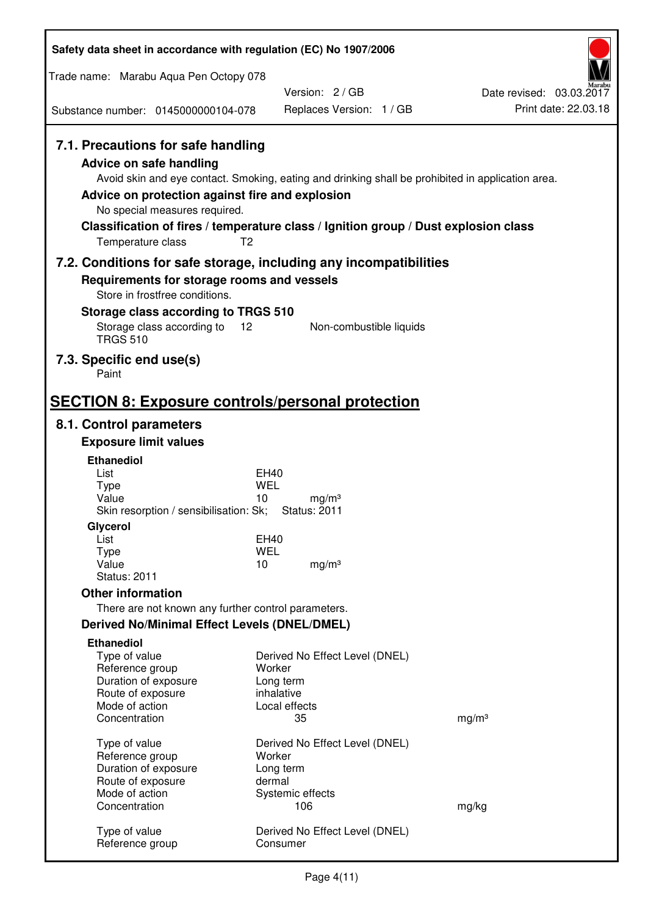| Safety data sheet in accordance with regulation (EC) No 1907/2006                                                                                                             |                                                                                                                                                                                                            |                                                  |
|-------------------------------------------------------------------------------------------------------------------------------------------------------------------------------|------------------------------------------------------------------------------------------------------------------------------------------------------------------------------------------------------------|--------------------------------------------------|
| Trade name: Marabu Aqua Pen Octopy 078                                                                                                                                        |                                                                                                                                                                                                            |                                                  |
|                                                                                                                                                                               | Version: 2/GB                                                                                                                                                                                              | Date revised: 03.03.2017<br>Print date: 22.03.18 |
| Substance number: 0145000000104-078                                                                                                                                           | Replaces Version: 1 / GB                                                                                                                                                                                   |                                                  |
| 7.1. Precautions for safe handling<br><b>Advice on safe handling</b><br>Advice on protection against fire and explosion<br>No special measures required.<br>Temperature class | Avoid skin and eye contact. Smoking, eating and drinking shall be prohibited in application area.<br>Classification of fires / temperature class / Ignition group / Dust explosion class<br>T <sub>2</sub> |                                                  |
|                                                                                                                                                                               | 7.2. Conditions for safe storage, including any incompatibilities                                                                                                                                          |                                                  |
| Requirements for storage rooms and vessels<br>Store in frostfree conditions.<br>Storage class according to TRGS 510                                                           |                                                                                                                                                                                                            |                                                  |
| Storage class according to<br><b>TRGS 510</b>                                                                                                                                 | 12<br>Non-combustible liquids                                                                                                                                                                              |                                                  |
| 7.3. Specific end use(s)<br>Paint                                                                                                                                             |                                                                                                                                                                                                            |                                                  |
| <b>SECTION 8: Exposure controls/personal protection</b>                                                                                                                       |                                                                                                                                                                                                            |                                                  |
| 8.1. Control parameters                                                                                                                                                       |                                                                                                                                                                                                            |                                                  |
| <b>Exposure limit values</b>                                                                                                                                                  |                                                                                                                                                                                                            |                                                  |
| <b>Ethanediol</b>                                                                                                                                                             |                                                                                                                                                                                                            |                                                  |
| List<br><b>Type</b>                                                                                                                                                           | EH40<br><b>WEL</b>                                                                                                                                                                                         |                                                  |
| Value                                                                                                                                                                         | 10<br>mg/m <sup>3</sup>                                                                                                                                                                                    |                                                  |
| Skin resorption / sensibilisation: Sk;                                                                                                                                        | <b>Status: 2011</b>                                                                                                                                                                                        |                                                  |
| Glycerol<br>List                                                                                                                                                              | <b>EH40</b>                                                                                                                                                                                                |                                                  |
| <b>Type</b>                                                                                                                                                                   | <b>WEL</b>                                                                                                                                                                                                 |                                                  |
| Value<br><b>Status: 2011</b>                                                                                                                                                  | 10<br>mg/m <sup>3</sup>                                                                                                                                                                                    |                                                  |
| <b>Other information</b>                                                                                                                                                      |                                                                                                                                                                                                            |                                                  |
| There are not known any further control parameters.                                                                                                                           |                                                                                                                                                                                                            |                                                  |
| <b>Derived No/Minimal Effect Levels (DNEL/DMEL)</b>                                                                                                                           |                                                                                                                                                                                                            |                                                  |
| <b>Ethanediol</b>                                                                                                                                                             |                                                                                                                                                                                                            |                                                  |
| Type of value<br>Reference group                                                                                                                                              | Derived No Effect Level (DNEL)<br>Worker                                                                                                                                                                   |                                                  |
| Duration of exposure                                                                                                                                                          | Long term                                                                                                                                                                                                  |                                                  |
| Route of exposure                                                                                                                                                             | inhalative                                                                                                                                                                                                 |                                                  |
| Mode of action<br>Concentration                                                                                                                                               | Local effects<br>35                                                                                                                                                                                        | mg/m <sup>3</sup>                                |
|                                                                                                                                                                               |                                                                                                                                                                                                            |                                                  |
| Type of value<br>Reference group                                                                                                                                              | Derived No Effect Level (DNEL)<br>Worker                                                                                                                                                                   |                                                  |
| Duration of exposure                                                                                                                                                          | Long term                                                                                                                                                                                                  |                                                  |
| Route of exposure                                                                                                                                                             | dermal                                                                                                                                                                                                     |                                                  |
| Mode of action<br>Concentration                                                                                                                                               | Systemic effects<br>106                                                                                                                                                                                    | mg/kg                                            |
| Type of value<br>Reference group                                                                                                                                              | Derived No Effect Level (DNEL)<br>Consumer                                                                                                                                                                 |                                                  |
|                                                                                                                                                                               |                                                                                                                                                                                                            |                                                  |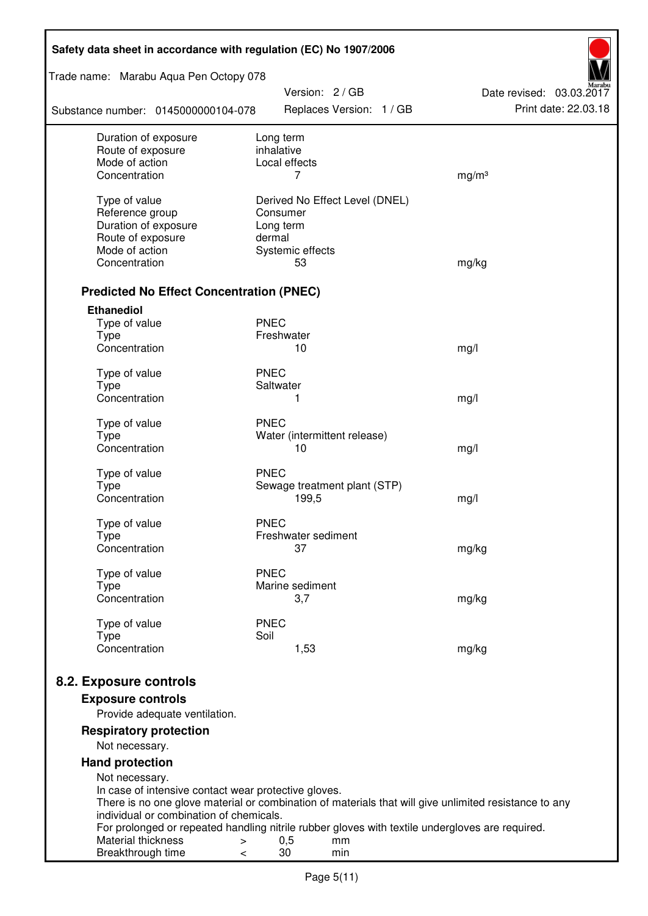| Safety data sheet in accordance with regulation (EC) No 1907/2006                                     |                                                                                                 |                          |  |  |  |
|-------------------------------------------------------------------------------------------------------|-------------------------------------------------------------------------------------------------|--------------------------|--|--|--|
| Trade name: Marabu Aqua Pen Octopy 078                                                                | Version: 2 / GB                                                                                 | Date revised: 03.03.2017 |  |  |  |
| Substance number: 0145000000104-078                                                                   | Replaces Version: 1 / GB                                                                        | Print date: 22.03.18     |  |  |  |
| Duration of exposure<br>Route of exposure                                                             | Long term<br>inhalative                                                                         |                          |  |  |  |
| Mode of action                                                                                        | Local effects                                                                                   |                          |  |  |  |
| Concentration                                                                                         | 7                                                                                               | mg/m <sup>3</sup>        |  |  |  |
| Type of value                                                                                         | Derived No Effect Level (DNEL)                                                                  |                          |  |  |  |
| Reference group                                                                                       | Consumer                                                                                        |                          |  |  |  |
| Duration of exposure                                                                                  | Long term                                                                                       |                          |  |  |  |
| Route of exposure                                                                                     | dermal                                                                                          |                          |  |  |  |
| Mode of action                                                                                        | Systemic effects                                                                                |                          |  |  |  |
| Concentration                                                                                         | 53                                                                                              | mg/kg                    |  |  |  |
| <b>Predicted No Effect Concentration (PNEC)</b>                                                       |                                                                                                 |                          |  |  |  |
| <b>Ethanediol</b>                                                                                     |                                                                                                 |                          |  |  |  |
| Type of value                                                                                         | <b>PNEC</b>                                                                                     |                          |  |  |  |
| <b>Type</b>                                                                                           | Freshwater                                                                                      |                          |  |  |  |
| Concentration                                                                                         | 10                                                                                              | mg/l                     |  |  |  |
| Type of value                                                                                         | <b>PNEC</b>                                                                                     |                          |  |  |  |
| <b>Type</b>                                                                                           | Saltwater                                                                                       |                          |  |  |  |
| Concentration                                                                                         | 1                                                                                               | mg/l                     |  |  |  |
| Type of value                                                                                         | <b>PNEC</b>                                                                                     |                          |  |  |  |
| <b>Type</b>                                                                                           | Water (intermittent release)                                                                    |                          |  |  |  |
| Concentration                                                                                         | 10                                                                                              | mg/l                     |  |  |  |
| Type of value                                                                                         | <b>PNEC</b>                                                                                     |                          |  |  |  |
| <b>Type</b>                                                                                           | Sewage treatment plant (STP)                                                                    |                          |  |  |  |
| Concentration                                                                                         | 199,5                                                                                           | mg/l                     |  |  |  |
|                                                                                                       |                                                                                                 |                          |  |  |  |
| Type of value<br>Type                                                                                 | <b>PNEC</b><br>Freshwater sediment                                                              |                          |  |  |  |
| Concentration                                                                                         | 37                                                                                              | mg/kg                    |  |  |  |
|                                                                                                       |                                                                                                 |                          |  |  |  |
| Type of value<br>Type                                                                                 | <b>PNEC</b><br>Marine sediment                                                                  |                          |  |  |  |
| Concentration                                                                                         | 3,7                                                                                             | mg/kg                    |  |  |  |
|                                                                                                       |                                                                                                 |                          |  |  |  |
| Type of value                                                                                         | <b>PNEC</b>                                                                                     |                          |  |  |  |
| <b>Type</b><br>Concentration                                                                          | Soil<br>1,53                                                                                    | mg/kg                    |  |  |  |
|                                                                                                       |                                                                                                 |                          |  |  |  |
| 8.2. Exposure controls                                                                                |                                                                                                 |                          |  |  |  |
| <b>Exposure controls</b><br>Provide adequate ventilation.                                             |                                                                                                 |                          |  |  |  |
| <b>Respiratory protection</b>                                                                         |                                                                                                 |                          |  |  |  |
| Not necessary.                                                                                        |                                                                                                 |                          |  |  |  |
| <b>Hand protection</b>                                                                                |                                                                                                 |                          |  |  |  |
| Not necessary.                                                                                        |                                                                                                 |                          |  |  |  |
| In case of intensive contact wear protective gloves.                                                  |                                                                                                 |                          |  |  |  |
| There is no one glove material or combination of materials that will give unlimited resistance to any |                                                                                                 |                          |  |  |  |
| individual or combination of chemicals.                                                               | For prolonged or repeated handling nitrile rubber gloves with textile undergloves are required. |                          |  |  |  |
| Material thickness<br>$\, > \,$                                                                       | 0,5<br>mm                                                                                       |                          |  |  |  |
| Breakthrough time<br>$\,<\,$                                                                          | 30<br>min                                                                                       |                          |  |  |  |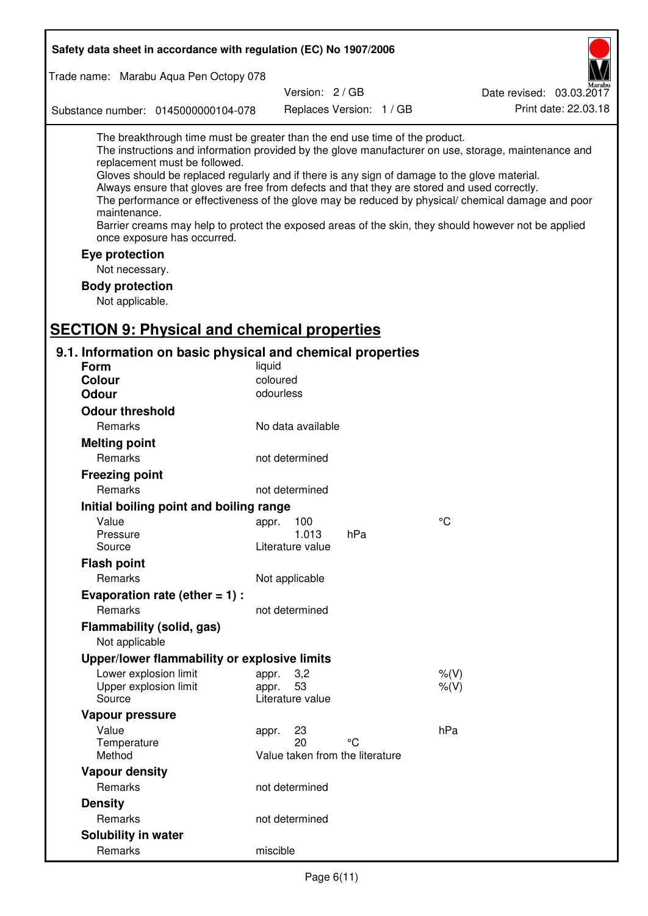| Trade name: Marabu Aqua Pen Octopy 078                                                                                                                                                                                                                                                                                                                                                                                                                                                                                                                                                                                                                                             |  |
|------------------------------------------------------------------------------------------------------------------------------------------------------------------------------------------------------------------------------------------------------------------------------------------------------------------------------------------------------------------------------------------------------------------------------------------------------------------------------------------------------------------------------------------------------------------------------------------------------------------------------------------------------------------------------------|--|
|                                                                                                                                                                                                                                                                                                                                                                                                                                                                                                                                                                                                                                                                                    |  |
| Version: 2/GB<br>Date revised: 03.03.2017                                                                                                                                                                                                                                                                                                                                                                                                                                                                                                                                                                                                                                          |  |
| Print date: 22.03.18<br>Replaces Version: 1 / GB<br>Substance number: 0145000000104-078                                                                                                                                                                                                                                                                                                                                                                                                                                                                                                                                                                                            |  |
| The breakthrough time must be greater than the end use time of the product.<br>The instructions and information provided by the glove manufacturer on use, storage, maintenance and<br>replacement must be followed.<br>Gloves should be replaced regularly and if there is any sign of damage to the glove material.<br>Always ensure that gloves are free from defects and that they are stored and used correctly.<br>The performance or effectiveness of the glove may be reduced by physical/ chemical damage and poor<br>maintenance.<br>Barrier creams may help to protect the exposed areas of the skin, they should however not be applied<br>once exposure has occurred. |  |
| Eye protection                                                                                                                                                                                                                                                                                                                                                                                                                                                                                                                                                                                                                                                                     |  |
| Not necessary.                                                                                                                                                                                                                                                                                                                                                                                                                                                                                                                                                                                                                                                                     |  |
| <b>Body protection</b>                                                                                                                                                                                                                                                                                                                                                                                                                                                                                                                                                                                                                                                             |  |
| Not applicable.                                                                                                                                                                                                                                                                                                                                                                                                                                                                                                                                                                                                                                                                    |  |
|                                                                                                                                                                                                                                                                                                                                                                                                                                                                                                                                                                                                                                                                                    |  |
| <b>SECTION 9: Physical and chemical properties</b>                                                                                                                                                                                                                                                                                                                                                                                                                                                                                                                                                                                                                                 |  |
| 9.1. Information on basic physical and chemical properties                                                                                                                                                                                                                                                                                                                                                                                                                                                                                                                                                                                                                         |  |
| Form<br>liquid                                                                                                                                                                                                                                                                                                                                                                                                                                                                                                                                                                                                                                                                     |  |
| coloured<br><b>Colour</b><br>odourless<br><b>Odour</b>                                                                                                                                                                                                                                                                                                                                                                                                                                                                                                                                                                                                                             |  |
|                                                                                                                                                                                                                                                                                                                                                                                                                                                                                                                                                                                                                                                                                    |  |
| <b>Odour threshold</b>                                                                                                                                                                                                                                                                                                                                                                                                                                                                                                                                                                                                                                                             |  |
| Remarks<br>No data available                                                                                                                                                                                                                                                                                                                                                                                                                                                                                                                                                                                                                                                       |  |
| <b>Melting point</b>                                                                                                                                                                                                                                                                                                                                                                                                                                                                                                                                                                                                                                                               |  |
| Remarks<br>not determined                                                                                                                                                                                                                                                                                                                                                                                                                                                                                                                                                                                                                                                          |  |
| <b>Freezing point</b>                                                                                                                                                                                                                                                                                                                                                                                                                                                                                                                                                                                                                                                              |  |
| Remarks<br>not determined                                                                                                                                                                                                                                                                                                                                                                                                                                                                                                                                                                                                                                                          |  |
| Initial boiling point and boiling range                                                                                                                                                                                                                                                                                                                                                                                                                                                                                                                                                                                                                                            |  |
| $\rm ^{\circ}C$<br>Value<br>appr. 100<br>hPa<br>1.013<br>Pressure                                                                                                                                                                                                                                                                                                                                                                                                                                                                                                                                                                                                                  |  |
| Source<br>Literature value                                                                                                                                                                                                                                                                                                                                                                                                                                                                                                                                                                                                                                                         |  |
| <b>Flash point</b>                                                                                                                                                                                                                                                                                                                                                                                                                                                                                                                                                                                                                                                                 |  |
| Remarks<br>Not applicable                                                                                                                                                                                                                                                                                                                                                                                                                                                                                                                                                                                                                                                          |  |
| Evaporation rate (ether $= 1$ ) :                                                                                                                                                                                                                                                                                                                                                                                                                                                                                                                                                                                                                                                  |  |
| Remarks<br>not determined                                                                                                                                                                                                                                                                                                                                                                                                                                                                                                                                                                                                                                                          |  |
| Flammability (solid, gas)                                                                                                                                                                                                                                                                                                                                                                                                                                                                                                                                                                                                                                                          |  |
| Not applicable                                                                                                                                                                                                                                                                                                                                                                                                                                                                                                                                                                                                                                                                     |  |
| Upper/lower flammability or explosive limits                                                                                                                                                                                                                                                                                                                                                                                                                                                                                                                                                                                                                                       |  |
| Lower explosion limit<br>3,2<br>$%$ (V)<br>appr.                                                                                                                                                                                                                                                                                                                                                                                                                                                                                                                                                                                                                                   |  |
| 53<br>$%$ $(V)$<br>Upper explosion limit<br>appr.                                                                                                                                                                                                                                                                                                                                                                                                                                                                                                                                                                                                                                  |  |
| Literature value<br>Source                                                                                                                                                                                                                                                                                                                                                                                                                                                                                                                                                                                                                                                         |  |
| Vapour pressure                                                                                                                                                                                                                                                                                                                                                                                                                                                                                                                                                                                                                                                                    |  |
| hPa<br>Value<br>23<br>appr.                                                                                                                                                                                                                                                                                                                                                                                                                                                                                                                                                                                                                                                        |  |
| 20<br>°C<br>Temperature<br>Method<br>Value taken from the literature                                                                                                                                                                                                                                                                                                                                                                                                                                                                                                                                                                                                               |  |
| <b>Vapour density</b>                                                                                                                                                                                                                                                                                                                                                                                                                                                                                                                                                                                                                                                              |  |
| Remarks<br>not determined                                                                                                                                                                                                                                                                                                                                                                                                                                                                                                                                                                                                                                                          |  |
| <b>Density</b>                                                                                                                                                                                                                                                                                                                                                                                                                                                                                                                                                                                                                                                                     |  |
| Remarks<br>not determined                                                                                                                                                                                                                                                                                                                                                                                                                                                                                                                                                                                                                                                          |  |
| Solubility in water                                                                                                                                                                                                                                                                                                                                                                                                                                                                                                                                                                                                                                                                |  |
| Remarks<br>miscible                                                                                                                                                                                                                                                                                                                                                                                                                                                                                                                                                                                                                                                                |  |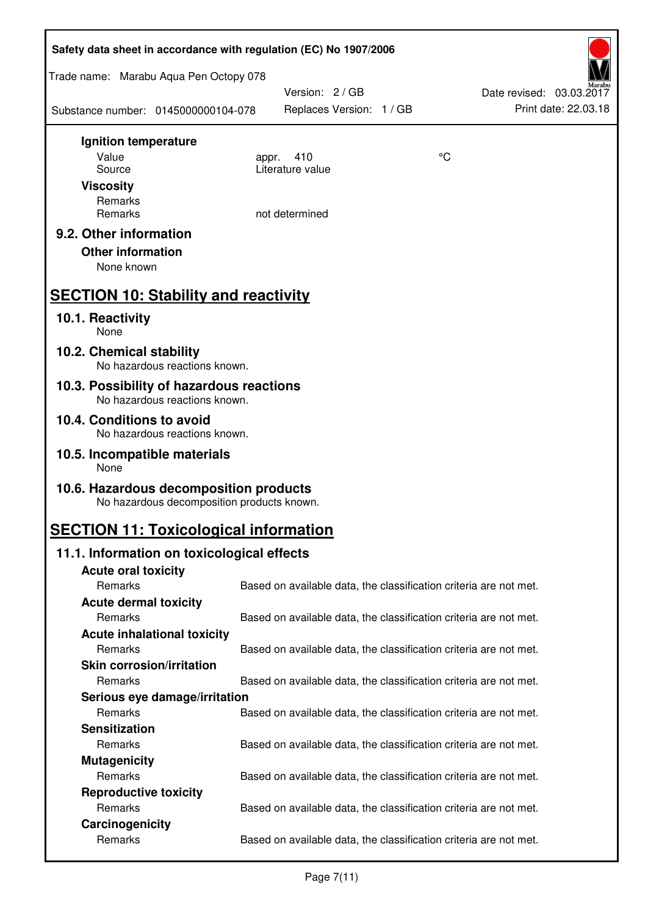| Safety data sheet in accordance with regulation (EC) No 1907/2006                    |                                                                   |    |                                                  |  |  |
|--------------------------------------------------------------------------------------|-------------------------------------------------------------------|----|--------------------------------------------------|--|--|
| Trade name: Marabu Aqua Pen Octopy 078                                               |                                                                   |    |                                                  |  |  |
| Substance number: 0145000000104-078                                                  | Version: 2 / GB<br>Replaces Version: 1 / GB                       |    | Date revised: 03.03.2017<br>Print date: 22.03.18 |  |  |
| Ignition temperature                                                                 |                                                                   |    |                                                  |  |  |
| Value<br>Source                                                                      | 410<br>appr.<br>Literature value                                  | °C |                                                  |  |  |
| <b>Viscosity</b>                                                                     |                                                                   |    |                                                  |  |  |
| Remarks                                                                              |                                                                   |    |                                                  |  |  |
| Remarks                                                                              | not determined                                                    |    |                                                  |  |  |
| 9.2. Other information                                                               |                                                                   |    |                                                  |  |  |
| <b>Other information</b><br>None known                                               |                                                                   |    |                                                  |  |  |
|                                                                                      |                                                                   |    |                                                  |  |  |
| <b>SECTION 10: Stability and reactivity</b>                                          |                                                                   |    |                                                  |  |  |
| 10.1. Reactivity<br>None                                                             |                                                                   |    |                                                  |  |  |
| 10.2. Chemical stability<br>No hazardous reactions known.                            |                                                                   |    |                                                  |  |  |
| 10.3. Possibility of hazardous reactions<br>No hazardous reactions known.            |                                                                   |    |                                                  |  |  |
| 10.4. Conditions to avoid<br>No hazardous reactions known.                           |                                                                   |    |                                                  |  |  |
| 10.5. Incompatible materials<br>None                                                 |                                                                   |    |                                                  |  |  |
| 10.6. Hazardous decomposition products<br>No hazardous decomposition products known. |                                                                   |    |                                                  |  |  |
| <b>SECTION 11: Toxicological information</b>                                         |                                                                   |    |                                                  |  |  |
| 11.1. Information on toxicological effects                                           |                                                                   |    |                                                  |  |  |
| <b>Acute oral toxicity</b>                                                           |                                                                   |    |                                                  |  |  |
| Remarks                                                                              | Based on available data, the classification criteria are not met. |    |                                                  |  |  |
| <b>Acute dermal toxicity</b>                                                         |                                                                   |    |                                                  |  |  |
| Remarks                                                                              | Based on available data, the classification criteria are not met. |    |                                                  |  |  |
| <b>Acute inhalational toxicity</b><br>Remarks                                        | Based on available data, the classification criteria are not met. |    |                                                  |  |  |
| <b>Skin corrosion/irritation</b>                                                     |                                                                   |    |                                                  |  |  |
| Remarks                                                                              | Based on available data, the classification criteria are not met. |    |                                                  |  |  |
| Serious eye damage/irritation                                                        |                                                                   |    |                                                  |  |  |
| Remarks                                                                              | Based on available data, the classification criteria are not met. |    |                                                  |  |  |
| <b>Sensitization</b>                                                                 |                                                                   |    |                                                  |  |  |
| Remarks                                                                              | Based on available data, the classification criteria are not met. |    |                                                  |  |  |
| <b>Mutagenicity</b><br>Remarks                                                       | Based on available data, the classification criteria are not met. |    |                                                  |  |  |
| <b>Reproductive toxicity</b>                                                         |                                                                   |    |                                                  |  |  |
| Remarks                                                                              | Based on available data, the classification criteria are not met. |    |                                                  |  |  |
| Carcinogenicity                                                                      |                                                                   |    |                                                  |  |  |
| Remarks                                                                              | Based on available data, the classification criteria are not met. |    |                                                  |  |  |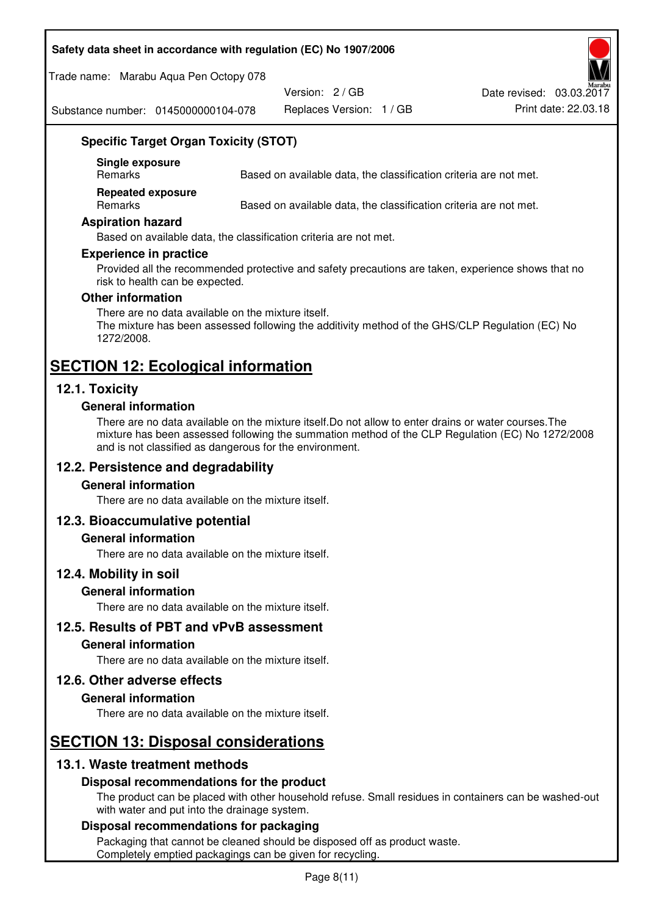### **Safety data sheet in accordance with regulation (EC) No 1907/2006**

Trade name: Marabu Aqua Pen Octopy 078

Version: 2 / GB

Replaces Version: 1 / GB Print date: 22.03.18 Date revised: 03.03.2017

Substance number: 0145000000104-078

# **Specific Target Organ Toxicity (STOT)**

**Single exposure** 

Based on available data, the classification criteria are not met.

**Repeated exposure** 

Remarks Based on available data, the classification criteria are not met.

#### **Aspiration hazard**

Based on available data, the classification criteria are not met.

#### **Experience in practice**

Provided all the recommended protective and safety precautions are taken, experience shows that no risk to health can be expected.

#### **Other information**

There are no data available on the mixture itself. The mixture has been assessed following the additivity method of the GHS/CLP Regulation (EC) No 1272/2008.

# **SECTION 12: Ecological information**

# **12.1. Toxicity**

#### **General information**

There are no data available on the mixture itself.Do not allow to enter drains or water courses.The mixture has been assessed following the summation method of the CLP Regulation (EC) No 1272/2008 and is not classified as dangerous for the environment.

# **12.2. Persistence and degradability**

#### **General information**

There are no data available on the mixture itself.

#### **12.3. Bioaccumulative potential**

#### **General information**

There are no data available on the mixture itself.

#### **12.4. Mobility in soil**

#### **General information**

There are no data available on the mixture itself.

**12.5. Results of PBT and vPvB assessment** 

### **General information**

There are no data available on the mixture itself.

#### **12.6. Other adverse effects**

#### **General information**

There are no data available on the mixture itself.

# **SECTION 13: Disposal considerations**

# **13.1. Waste treatment methods**

#### **Disposal recommendations for the product**

The product can be placed with other household refuse. Small residues in containers can be washed-out with water and put into the drainage system.

#### **Disposal recommendations for packaging**

Packaging that cannot be cleaned should be disposed off as product waste. Completely emptied packagings can be given for recycling.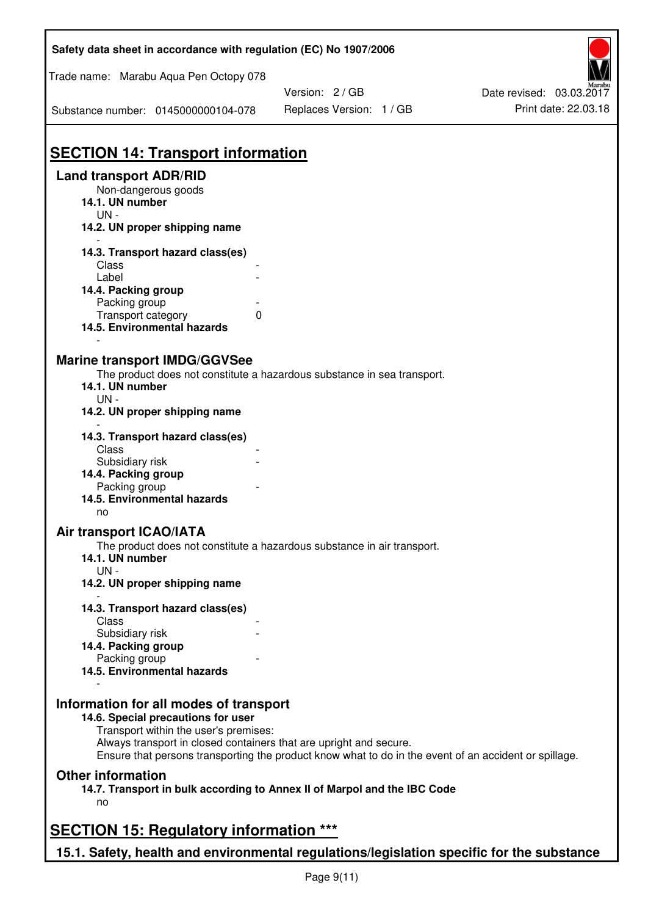| Safety data sheet in accordance with regulation (EC) No 1907/2006                                           |                                                                                                       |                                                  |  |  |  |
|-------------------------------------------------------------------------------------------------------------|-------------------------------------------------------------------------------------------------------|--------------------------------------------------|--|--|--|
| Trade name: Marabu Aqua Pen Octopy 078                                                                      |                                                                                                       |                                                  |  |  |  |
| Substance number: 0145000000104-078                                                                         | Version: 2 / GB<br>Replaces Version: 1 / GB                                                           | Date revised: 03.03.2017<br>Print date: 22.03.18 |  |  |  |
| <b>SECTION 14: Transport information</b>                                                                    |                                                                                                       |                                                  |  |  |  |
| <b>Land transport ADR/RID</b>                                                                               |                                                                                                       |                                                  |  |  |  |
| Non-dangerous goods<br>14.1. UN number<br>$UN -$                                                            |                                                                                                       |                                                  |  |  |  |
| 14.2. UN proper shipping name                                                                               |                                                                                                       |                                                  |  |  |  |
| 14.3. Transport hazard class(es)                                                                            |                                                                                                       |                                                  |  |  |  |
| Class                                                                                                       |                                                                                                       |                                                  |  |  |  |
| Label<br>14.4. Packing group                                                                                |                                                                                                       |                                                  |  |  |  |
| Packing group                                                                                               |                                                                                                       |                                                  |  |  |  |
| Transport category<br>0                                                                                     |                                                                                                       |                                                  |  |  |  |
| 14.5. Environmental hazards                                                                                 |                                                                                                       |                                                  |  |  |  |
| <b>Marine transport IMDG/GGVSee</b>                                                                         |                                                                                                       |                                                  |  |  |  |
|                                                                                                             | The product does not constitute a hazardous substance in sea transport.                               |                                                  |  |  |  |
| 14.1. UN number                                                                                             |                                                                                                       |                                                  |  |  |  |
| $UN -$<br>14.2. UN proper shipping name                                                                     |                                                                                                       |                                                  |  |  |  |
| 14.3. Transport hazard class(es)                                                                            |                                                                                                       |                                                  |  |  |  |
| Class                                                                                                       |                                                                                                       |                                                  |  |  |  |
| Subsidiary risk                                                                                             |                                                                                                       |                                                  |  |  |  |
| 14.4. Packing group<br>Packing group                                                                        |                                                                                                       |                                                  |  |  |  |
| 14.5. Environmental hazards<br>no                                                                           |                                                                                                       |                                                  |  |  |  |
| <b>Air transport ICAO/IATA</b>                                                                              |                                                                                                       |                                                  |  |  |  |
| 14.1. UN number                                                                                             | The product does not constitute a hazardous substance in air transport.                               |                                                  |  |  |  |
| $UN -$                                                                                                      |                                                                                                       |                                                  |  |  |  |
| 14.2. UN proper shipping name                                                                               |                                                                                                       |                                                  |  |  |  |
| 14.3. Transport hazard class(es)                                                                            |                                                                                                       |                                                  |  |  |  |
| Class<br>Subsidiary risk                                                                                    |                                                                                                       |                                                  |  |  |  |
| 14.4. Packing group                                                                                         |                                                                                                       |                                                  |  |  |  |
| Packing group                                                                                               |                                                                                                       |                                                  |  |  |  |
| 14.5. Environmental hazards                                                                                 |                                                                                                       |                                                  |  |  |  |
| Information for all modes of transport                                                                      |                                                                                                       |                                                  |  |  |  |
| 14.6. Special precautions for user                                                                          |                                                                                                       |                                                  |  |  |  |
| Transport within the user's premises:<br>Always transport in closed containers that are upright and secure. |                                                                                                       |                                                  |  |  |  |
|                                                                                                             | Ensure that persons transporting the product know what to do in the event of an accident or spillage. |                                                  |  |  |  |
| <b>Other information</b>                                                                                    |                                                                                                       |                                                  |  |  |  |
| 14.7. Transport in bulk according to Annex II of Marpol and the IBC Code<br>no                              |                                                                                                       |                                                  |  |  |  |
| <b>SECTION 15: Regulatory information ***</b>                                                               |                                                                                                       |                                                  |  |  |  |
| 15.1. Safety, health and environmental regulations/legislation specific for the substance                   |                                                                                                       |                                                  |  |  |  |
|                                                                                                             |                                                                                                       |                                                  |  |  |  |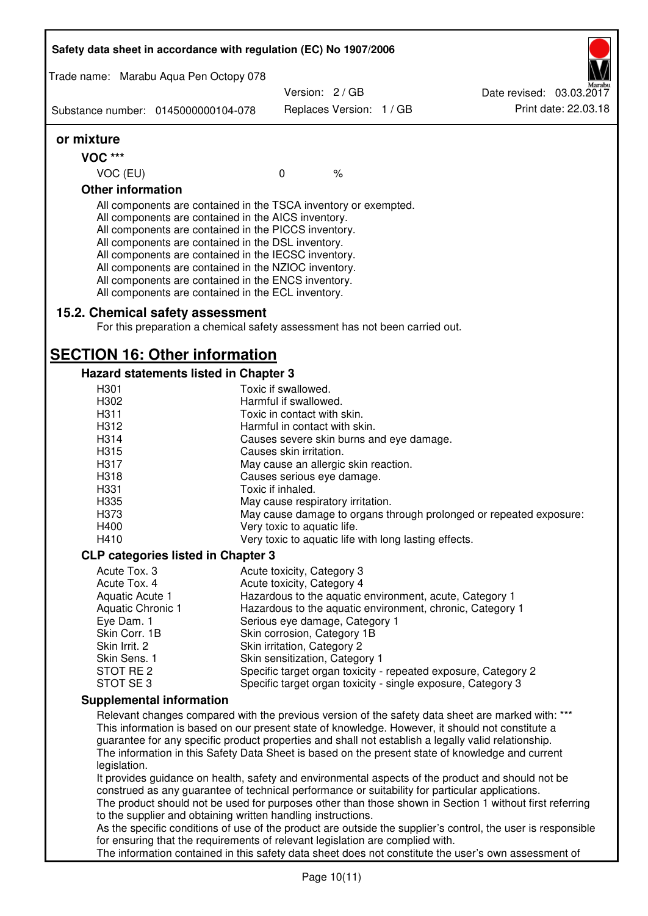| Safety data sheet in accordance with regulation (EC) No 1907/2006                                                                                                                                                                                                                                                                                                                                                                                                 |                                                                                      |                          |                                                                                                                                                                                                                                                                                                                 |
|-------------------------------------------------------------------------------------------------------------------------------------------------------------------------------------------------------------------------------------------------------------------------------------------------------------------------------------------------------------------------------------------------------------------------------------------------------------------|--------------------------------------------------------------------------------------|--------------------------|-----------------------------------------------------------------------------------------------------------------------------------------------------------------------------------------------------------------------------------------------------------------------------------------------------------------|
| Trade name: Marabu Aqua Pen Octopy 078                                                                                                                                                                                                                                                                                                                                                                                                                            |                                                                                      |                          |                                                                                                                                                                                                                                                                                                                 |
|                                                                                                                                                                                                                                                                                                                                                                                                                                                                   | Version: 2/GB                                                                        |                          | Date revised: 03.03.2017                                                                                                                                                                                                                                                                                        |
| Substance number: 0145000000104-078                                                                                                                                                                                                                                                                                                                                                                                                                               |                                                                                      | Replaces Version: 1 / GB | Print date: 22.03.18                                                                                                                                                                                                                                                                                            |
| or mixture                                                                                                                                                                                                                                                                                                                                                                                                                                                        |                                                                                      |                          |                                                                                                                                                                                                                                                                                                                 |
| <b>VOC ***</b>                                                                                                                                                                                                                                                                                                                                                                                                                                                    |                                                                                      |                          |                                                                                                                                                                                                                                                                                                                 |
| VOC (EU)                                                                                                                                                                                                                                                                                                                                                                                                                                                          | $\mathbf 0$                                                                          | $\%$                     |                                                                                                                                                                                                                                                                                                                 |
| <b>Other information</b>                                                                                                                                                                                                                                                                                                                                                                                                                                          |                                                                                      |                          |                                                                                                                                                                                                                                                                                                                 |
| All components are contained in the TSCA inventory or exempted.<br>All components are contained in the AICS inventory.<br>All components are contained in the PICCS inventory.<br>All components are contained in the DSL inventory.<br>All components are contained in the IECSC inventory.<br>All components are contained in the NZIOC inventory.<br>All components are contained in the ENCS inventory.<br>All components are contained in the ECL inventory. |                                                                                      |                          |                                                                                                                                                                                                                                                                                                                 |
| 15.2. Chemical safety assessment<br>For this preparation a chemical safety assessment has not been carried out.                                                                                                                                                                                                                                                                                                                                                   |                                                                                      |                          |                                                                                                                                                                                                                                                                                                                 |
| <b>SECTION 16: Other information</b>                                                                                                                                                                                                                                                                                                                                                                                                                              |                                                                                      |                          |                                                                                                                                                                                                                                                                                                                 |
| Hazard statements listed in Chapter 3                                                                                                                                                                                                                                                                                                                                                                                                                             |                                                                                      |                          |                                                                                                                                                                                                                                                                                                                 |
| H <sub>301</sub>                                                                                                                                                                                                                                                                                                                                                                                                                                                  | Toxic if swallowed.                                                                  |                          |                                                                                                                                                                                                                                                                                                                 |
| H302                                                                                                                                                                                                                                                                                                                                                                                                                                                              | Harmful if swallowed.                                                                |                          |                                                                                                                                                                                                                                                                                                                 |
| H311<br>H312                                                                                                                                                                                                                                                                                                                                                                                                                                                      | Toxic in contact with skin.<br>Harmful in contact with skin.                         |                          |                                                                                                                                                                                                                                                                                                                 |
| H314                                                                                                                                                                                                                                                                                                                                                                                                                                                              | Causes severe skin burns and eye damage.                                             |                          |                                                                                                                                                                                                                                                                                                                 |
| H315                                                                                                                                                                                                                                                                                                                                                                                                                                                              | Causes skin irritation.                                                              |                          |                                                                                                                                                                                                                                                                                                                 |
| H317                                                                                                                                                                                                                                                                                                                                                                                                                                                              | May cause an allergic skin reaction.                                                 |                          |                                                                                                                                                                                                                                                                                                                 |
| H318                                                                                                                                                                                                                                                                                                                                                                                                                                                              | Causes serious eye damage.                                                           |                          |                                                                                                                                                                                                                                                                                                                 |
| H331                                                                                                                                                                                                                                                                                                                                                                                                                                                              | Toxic if inhaled.                                                                    |                          |                                                                                                                                                                                                                                                                                                                 |
| H335                                                                                                                                                                                                                                                                                                                                                                                                                                                              | May cause respiratory irritation.                                                    |                          |                                                                                                                                                                                                                                                                                                                 |
| H373                                                                                                                                                                                                                                                                                                                                                                                                                                                              |                                                                                      |                          | May cause damage to organs through prolonged or repeated exposure:                                                                                                                                                                                                                                              |
| H400<br>H410                                                                                                                                                                                                                                                                                                                                                                                                                                                      | Very toxic to aquatic life.<br>Very toxic to aquatic life with long lasting effects. |                          |                                                                                                                                                                                                                                                                                                                 |
|                                                                                                                                                                                                                                                                                                                                                                                                                                                                   |                                                                                      |                          |                                                                                                                                                                                                                                                                                                                 |
| <b>CLP categories listed in Chapter 3</b>                                                                                                                                                                                                                                                                                                                                                                                                                         |                                                                                      |                          |                                                                                                                                                                                                                                                                                                                 |
| Acute Tox. 3<br>Acute Tox. 4                                                                                                                                                                                                                                                                                                                                                                                                                                      | Acute toxicity, Category 3<br>Acute toxicity, Category 4                             |                          |                                                                                                                                                                                                                                                                                                                 |
| Aquatic Acute 1                                                                                                                                                                                                                                                                                                                                                                                                                                                   |                                                                                      |                          | Hazardous to the aquatic environment, acute, Category 1                                                                                                                                                                                                                                                         |
| Aquatic Chronic 1                                                                                                                                                                                                                                                                                                                                                                                                                                                 |                                                                                      |                          | Hazardous to the aquatic environment, chronic, Category 1                                                                                                                                                                                                                                                       |
| Eye Dam. 1                                                                                                                                                                                                                                                                                                                                                                                                                                                        | Serious eye damage, Category 1                                                       |                          |                                                                                                                                                                                                                                                                                                                 |
| Skin Corr. 1B                                                                                                                                                                                                                                                                                                                                                                                                                                                     | Skin corrosion, Category 1B                                                          |                          |                                                                                                                                                                                                                                                                                                                 |
| Skin Irrit. 2                                                                                                                                                                                                                                                                                                                                                                                                                                                     | Skin irritation, Category 2                                                          |                          |                                                                                                                                                                                                                                                                                                                 |
| Skin Sens. 1<br>STOT RE 2                                                                                                                                                                                                                                                                                                                                                                                                                                         | Skin sensitization, Category 1                                                       |                          | Specific target organ toxicity - repeated exposure, Category 2                                                                                                                                                                                                                                                  |
| STOT SE3                                                                                                                                                                                                                                                                                                                                                                                                                                                          |                                                                                      |                          | Specific target organ toxicity - single exposure, Category 3                                                                                                                                                                                                                                                    |
| <b>Supplemental information</b>                                                                                                                                                                                                                                                                                                                                                                                                                                   |                                                                                      |                          |                                                                                                                                                                                                                                                                                                                 |
|                                                                                                                                                                                                                                                                                                                                                                                                                                                                   |                                                                                      |                          | Relevant changes compared with the previous version of the safety data sheet are marked with: ***                                                                                                                                                                                                               |
| legislation.                                                                                                                                                                                                                                                                                                                                                                                                                                                      |                                                                                      |                          | This information is based on our present state of knowledge. However, it should not constitute a<br>guarantee for any specific product properties and shall not establish a legally valid relationship.<br>The information in this Safety Data Sheet is based on the present state of knowledge and current     |
| to the supplier and obtaining written handling instructions.                                                                                                                                                                                                                                                                                                                                                                                                      |                                                                                      |                          | It provides guidance on health, safety and environmental aspects of the product and should not be<br>construed as any guarantee of technical performance or suitability for particular applications.<br>The product should not be used for purposes other than those shown in Section 1 without first referring |
|                                                                                                                                                                                                                                                                                                                                                                                                                                                                   |                                                                                      |                          | As the specific conditions of use of the product are outside the supplier's control, the user is responsible                                                                                                                                                                                                    |
| for ensuring that the requirements of relevant legislation are complied with.                                                                                                                                                                                                                                                                                                                                                                                     |                                                                                      |                          | The information contained in this safety data sheet does not constitute the user's own assessment of                                                                                                                                                                                                            |